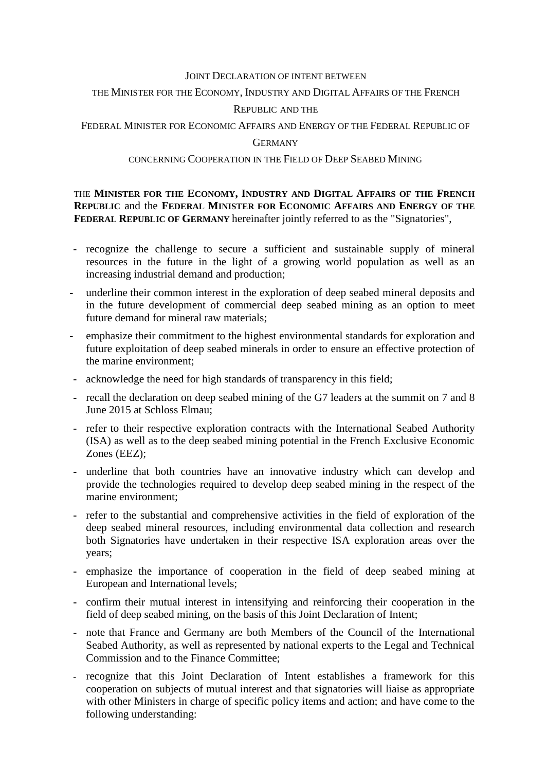#### JOINT DECLARATION OF INTENT BETWEEN

# THE MINISTER FOR THE ECONOMY, INDUSTRY AND DIGITAL AFFAIRS OF THE FRENCH

### REPUBLIC AND THE

FEDERAL MINISTER FOR ECONOMIC AFFAIRS AND ENERGY OF THE FEDERAL REPUBLIC OF

#### **GERMANY**

## CONCERNING COOPERATION IN THE FIELD OF DEEP SEABED MINING

## THE **MINISTER FOR THE ECONOMY, INDUSTRY AND DIGITAL AFFAIRS OF THE FRENCH REPUBLIC** and the **FEDERAL MINISTER FOR ECONOMIC AFFAIRS AND ENERGY OF THE FEDERAL REPUBLIC OF GERMANY** hereinafter jointly referred to as the "Signatories".

- **-** recognize the challenge to secure a sufficient and sustainable supply of mineral resources in the future in the light of a growing world population as well as an increasing industrial demand and production;
- **-** underline their common interest in the exploration of deep seabed mineral deposits and in the future development of commercial deep seabed mining as an option to meet future demand for mineral raw materials;
- **-** emphasize their commitment to the highest environmental standards for exploration and future exploitation of deep seabed minerals in order to ensure an effective protection of the marine environment;
- **-** acknowledge the need for high standards of transparency in this field;
- **-** recall the declaration on deep seabed mining of the G7 leaders at the summit on 7 and 8 June 2015 at Schloss Elmau;
- **-** refer to their respective exploration contracts with the International Seabed Authority (ISA) as well as to the deep seabed mining potential in the French Exclusive Economic Zones (EEZ);
- **-** underline that both countries have an innovative industry which can develop and provide the technologies required to develop deep seabed mining in the respect of the marine environment;
- **-** refer to the substantial and comprehensive activities in the field of exploration of the deep seabed mineral resources, including environmental data collection and research both Signatories have undertaken in their respective ISA exploration areas over the years;
- **-** emphasize the importance of cooperation in the field of deep seabed mining at European and International levels;
- **-** confirm their mutual interest in intensifying and reinforcing their cooperation in the field of deep seabed mining, on the basis of this Joint Declaration of Intent;
- **-** note that France and Germany are both Members of the Council of the International Seabed Authority, as well as represented by national experts to the Legal and Technical Commission and to the Finance Committee;
- **-** recognize that this Joint Declaration of Intent establishes a framework for this cooperation on subjects of mutual interest and that signatories will liaise as appropriate with other Ministers in charge of specific policy items and action; and have come to the following understanding: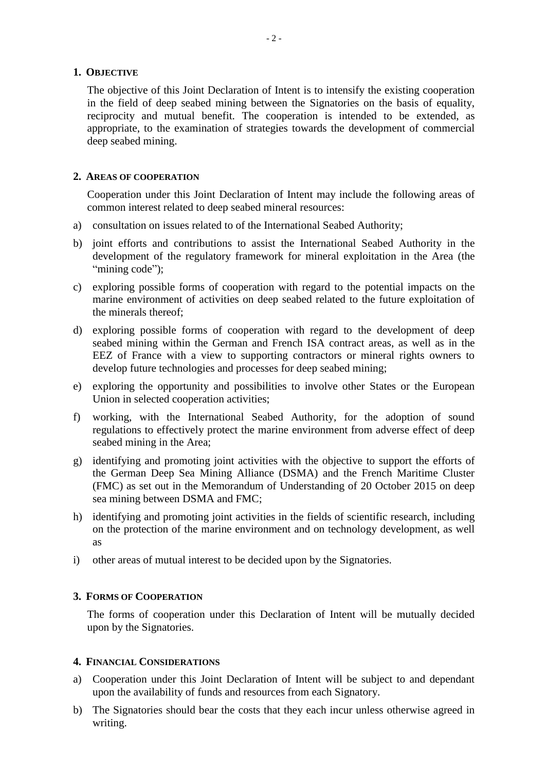## **1. OBJECTIVE**

The objective of this Joint Declaration of Intent is to intensify the existing cooperation in the field of deep seabed mining between the Signatories on the basis of equality, reciprocity and mutual benefit. The cooperation is intended to be extended, as appropriate, to the examination of strategies towards the development of commercial deep seabed mining.

# **2. AREAS OF COOPERATION**

Cooperation under this Joint Declaration of Intent may include the following areas of common interest related to deep seabed mineral resources:

- a) consultation on issues related to of the International Seabed Authority;
- b) joint efforts and contributions to assist the International Seabed Authority in the development of the regulatory framework for mineral exploitation in the Area (the "mining code");
- c) exploring possible forms of cooperation with regard to the potential impacts on the marine environment of activities on deep seabed related to the future exploitation of the minerals thereof;
- d) exploring possible forms of cooperation with regard to the development of deep seabed mining within the German and French ISA contract areas, as well as in the EEZ of France with a view to supporting contractors or mineral rights owners to develop future technologies and processes for deep seabed mining;
- e) exploring the opportunity and possibilities to involve other States or the European Union in selected cooperation activities;
- f) working, with the International Seabed Authority, for the adoption of sound regulations to effectively protect the marine environment from adverse effect of deep seabed mining in the Area;
- g) identifying and promoting joint activities with the objective to support the efforts of the German Deep Sea Mining Alliance (DSMA) and the French Maritime Cluster (FMC) as set out in the Memorandum of Understanding of 20 October 2015 on deep sea mining between DSMA and FMC;
- h) identifying and promoting joint activities in the fields of scientific research, including on the protection of the marine environment and on technology development, as well as
- i) other areas of mutual interest to be decided upon by the Signatories.

# **3. FORMS OF COOPERATION**

The forms of cooperation under this Declaration of Intent will be mutually decided upon by the Signatories.

## **4. FINANCIAL CONSIDERATIONS**

- a) Cooperation under this Joint Declaration of Intent will be subject to and dependant upon the availability of funds and resources from each Signatory.
- b) The Signatories should bear the costs that they each incur unless otherwise agreed in writing.